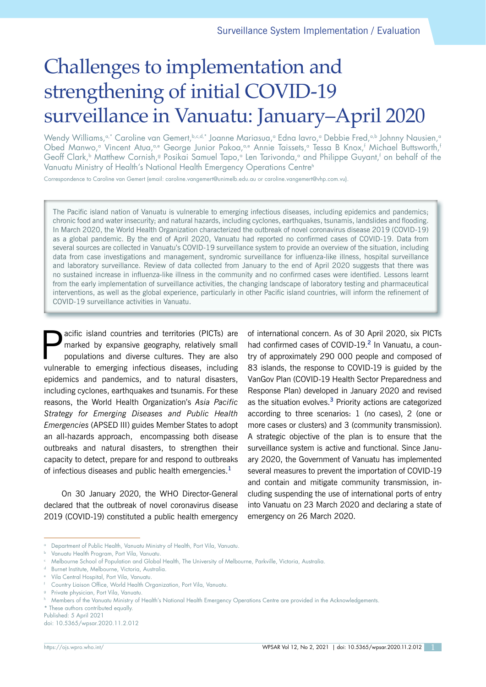# Challenges to implementation and strengthening of initial COVID-19 surveillance in Vanuatu: January–April 2020

Wendy Williams,<sup>a,\*</sup> Caroline van Gemert,b,c,d,\* Joanne Mariasua,<sup>a</sup> Edna Iavro,<sup>a</sup> Debbie Fred,<sup>a,b</sup> Johnny Nausien,<sup>a</sup> Obed Manwo,ª Vincent Atua,ªe George Junior Pakoa,ªe Annie Taissets,ª Tessa B Knox,† Michael Buttsworth,' Geoff Clark,<sup>b</sup> Matthew Cornish,<sup>g</sup> Posikai Samuel Tapo,<sup>a</sup> Len Tarivonda,ª and Philippe Guyant,<sup>t</sup> on behalf of the Vanuatu Ministry of Health's National Health Emergency Operations Centre<sup>h</sup>

Correspondence to Caroline van Gemert (email: caroline.vangemert@unimelb.edu.au or caroline.vangemert@vhp.com.vu).

The Pacific island nation of Vanuatu is vulnerable to emerging infectious diseases, including epidemics and pandemics; chronic food and water insecurity; and natural hazards, including cyclones, earthquakes, tsunamis, landslides and flooding. In March 2020, the World Health Organization characterized the outbreak of novel coronavirus disease 2019 (COVID-19) as a global pandemic. By the end of April 2020, Vanuatu had reported no confirmed cases of COVID-19. Data from several sources are collected in Vanuatu's COVID-19 surveillance system to provide an overview of the situation, including data from case investigations and management, syndromic surveillance for influenza-like illness, hospital surveillance and laboratory surveillance. Review of data collected from January to the end of April 2020 suggests that there was no sustained increase in influenza-like illness in the community and no confirmed cases were identified. Lessons learnt from the early implementation of surveillance activities, the changing landscape of laboratory testing and pharmaceutical interventions, as well as the global experience, particularly in other Pacific island countries, will inform the refinement of COVID-19 surveillance activities in Vanuatu.

acific island countries and territories (PICTs) are marked by expansive geography, relatively small populations and diverse cultures. They are also vulnerable to emerging infectious diseases, including epidemics and pandemics, and to natural disasters, including cyclones, earthquakes and tsunamis. For these reasons, the World Health Organization's *Asia Pacific Strategy for Emerging Diseases and Public Health Emergencies* (APSED III) guides Member States to adopt an all-hazards approach, encompassing both disease outbreaks and natural disasters, to strengthen their capacity to detect, prepare for and respond to outbreaks of infectious diseases and public health emergencies.**<sup>1</sup>**

On 30 January 2020, the WHO Director-General declared that the outbreak of novel coronavirus disease 2019 (COVID-19) constituted a public health emergency

of international concern. As of 30 April 2020, six PICTs had confirmed cases of COVID-19.**<sup>2</sup>** In Vanuatu, a country of approximately 290 000 people and composed of 83 islands, the response to COVID-19 is guided by the VanGov Plan (COVID-19 Health Sector Preparedness and Response Plan) developed in January 2020 and revised as the situation evolves.**<sup>3</sup>** Priority actions are categorized according to three scenarios: 1 (no cases), 2 (one or more cases or clusters) and 3 (community transmission). A strategic objective of the plan is to ensure that the surveillance system is active and functional. Since January 2020, the Government of Vanuatu has implemented several measures to prevent the importation of COVID-19 and contain and mitigate community transmission, including suspending the use of international ports of entry into Vanuatu on 23 March 2020 and declaring a state of emergency on 26 March 2020.

doi: 10.5365/wpsar.2020.11.2.012

Department of Public Health, Vanuatu Ministry of Health, Port Vila, Vanuatu.

Vanuatu Health Program, Port Vila, Vanuatu

<sup>c</sup> Melbourne School of Population and Global Health, The University of Melbourne, Parkville, Victoria, Australia.

<sup>d</sup> Burnet Institute, Melbourne, Victoria, Australia.

<sup>e</sup> Vila Central Hospital, Port Vila, Vanuatu.

<sup>f</sup> Country Liaison Office, World Health Organization, Port Vila, Vanuatu.

<sup>g</sup> Private physician, Port Vila, Vanuatu.

<sup>h</sup> Members of the Vanuatu Ministry of Health's National Health Emergency Operations Centre are provided in the Acknowledgements.

<sup>\*</sup> These authors contributed equally.

Published: 5 April 2021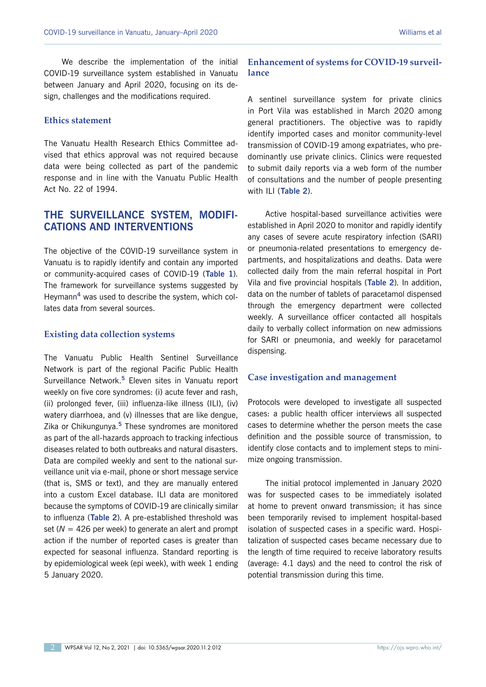We describe the implementation of the initial COVID-19 surveillance system established in Vanuatu between January and April 2020, focusing on its design, challenges and the modifications required.

#### **Ethics statement**

The Vanuatu Health Research Ethics Committee advised that ethics approval was not required because data were being collected as part of the pandemic response and in line with the Vanuatu Public Health Act No. 22 of 1994.

## **THE SURVEILLANCE SYSTEM, MODIFI-CATIONS AND INTERVENTIONS**

The objective of the COVID-19 surveillance system in Vanuatu is to rapidly identify and contain any imported or community-acquired cases of COVID-19 (**[Table 1](#page-2-0)**). The framework for surveillance systems suggested by Heymann**<sup>4</sup>** was used to describe the system, which collates data from several sources.

#### **Existing data collection systems**

The Vanuatu Public Health Sentinel Surveillance Network is part of the regional Pacific Public Health Surveillance Network.**<sup>5</sup>** Eleven sites in Vanuatu report weekly on five core syndromes: (i) acute fever and rash, (ii) prolonged fever, (iii) influenza-like illness (ILI), (iv) watery diarrhoea, and (v) illnesses that are like dengue, Zika or Chikungunya.**<sup>5</sup>** These syndromes are monitored as part of the all-hazards approach to tracking infectious diseases related to both outbreaks and natural disasters. Data are compiled weekly and sent to the national surveillance unit via e-mail, phone or short message service (that is, SMS or text), and they are manually entered into a custom Excel database. ILI data are monitored because the symptoms of COVID-19 are clinically similar to influenza (**[Table](#page-2-0) 2**). A pre-established threshold was set (*N* = 426 per week) to generate an alert and prompt action if the number of reported cases is greater than expected for seasonal influenza. Standard reporting is by epidemiological week (epi week), with week 1 ending 5 January 2020.

## **Enhancement of systems for COVID-19 surveillance**

A sentinel surveillance system for private clinics in Port Vila was established in March 2020 among general practitioners. The objective was to rapidly identify imported cases and monitor community-level transmission of COVID-19 among expatriates, who predominantly use private clinics. Clinics were requested to submit daily reports via a web form of the number of consultations and the number of people presenting with ILI (**[Table](#page-2-0) 2**).

Active hospital-based surveillance activities were established in April 2020 to monitor and rapidly identify any cases of severe acute respiratory infection (SARI) or pneumonia-related presentations to emergency departments, and hospitalizations and deaths. Data were collected daily from the main referral hospital in Port Vila and five provincial hospitals (**[Table](#page-2-0) 2**). In addition, data on the number of tablets of paracetamol dispensed through the emergency department were collected weekly. A surveillance officer contacted all hospitals daily to verbally collect information on new admissions for SARI or pneumonia, and weekly for paracetamol dispensing.

#### **Case investigation and management**

Protocols were developed to investigate all suspected cases: a public health officer interviews all suspected cases to determine whether the person meets the case definition and the possible source of transmission, to identify close contacts and to implement steps to minimize ongoing transmission.

The initial protocol implemented in January 2020 was for suspected cases to be immediately isolated at home to prevent onward transmission; it has since been temporarily revised to implement hospital-based isolation of suspected cases in a specific ward. Hospitalization of suspected cases became necessary due to the length of time required to receive laboratory results (average: 4.1 days) and the need to control the risk of potential transmission during this time.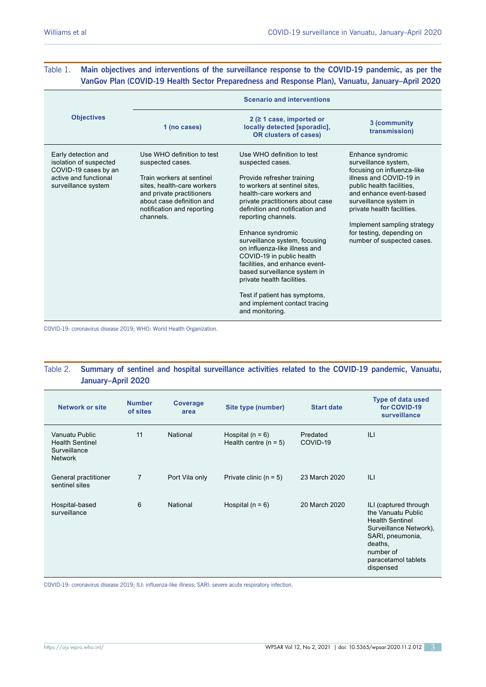## <span id="page-2-0"></span>Table 1. **Main objectives and interventions of the surveillance response to the COVID-19 pandemic, as per the VanGov Plan (COVID-19 Health Sector Preparedness and Response Plan), Vanuatu, January–April 2020**

|                                                                                                                       | <b>Scenario and interventions</b>                                                                                                                                                                              |                                                                                                                                                                                                                                                                                                                                                                                                                                                                                                                                                 |                                                                                                                                                                                                                                                                                                              |  |  |  |
|-----------------------------------------------------------------------------------------------------------------------|----------------------------------------------------------------------------------------------------------------------------------------------------------------------------------------------------------------|-------------------------------------------------------------------------------------------------------------------------------------------------------------------------------------------------------------------------------------------------------------------------------------------------------------------------------------------------------------------------------------------------------------------------------------------------------------------------------------------------------------------------------------------------|--------------------------------------------------------------------------------------------------------------------------------------------------------------------------------------------------------------------------------------------------------------------------------------------------------------|--|--|--|
| <b>Objectives</b>                                                                                                     | 1 (no cases)                                                                                                                                                                                                   | $2$ ( $\geq$ 1 case, imported or<br>locally detected [sporadic],<br><b>OR clusters of cases)</b>                                                                                                                                                                                                                                                                                                                                                                                                                                                | 3 (community<br>transmission)                                                                                                                                                                                                                                                                                |  |  |  |
| Early detection and<br>isolation of suspected<br>COVID-19 cases by an<br>active and functional<br>surveillance system | Use WHO definition to test<br>suspected cases.<br>Train workers at sentinel<br>sites, health-care workers<br>and private practitioners<br>about case definition and<br>notification and reporting<br>channels. | Use WHO definition to test<br>suspected cases.<br>Provide refresher training<br>to workers at sentinel sites.<br>health-care workers and<br>private practitioners about case<br>definition and notification and<br>reporting channels.<br>Enhance syndromic<br>surveillance system, focusing<br>on influenza-like illness and<br>COVID-19 in public health<br>facilities, and enhance event-<br>based surveillance system in<br>private health facilities.<br>Test if patient has symptoms,<br>and implement contact tracing<br>and monitoring. | Enhance syndromic<br>surveillance system,<br>focusing on influenza-like<br>illness and COVID-19 in<br>public health facilities,<br>and enhance event-based<br>surveillance system in<br>private health facilities.<br>Implement sampling strategy<br>for testing, depending on<br>number of suspected cases. |  |  |  |

COVID-19: coronavirus disease 2019; WHO: World Health Organization.

### Table 2. **Summary of sentinel and hospital surveillance activities related to the COVID-19 pandemic, Vanuatu, January–April 2020**

| <b>Network or site</b>                                                     | <b>Number</b><br>of sites | Coverage<br>area | Site type (number)                            | <b>Start date</b>    | <b>Type of data used</b><br>for COVID-19<br>surveillance                                                                                                                        |
|----------------------------------------------------------------------------|---------------------------|------------------|-----------------------------------------------|----------------------|---------------------------------------------------------------------------------------------------------------------------------------------------------------------------------|
| Vanuatu Public<br><b>Health Sentinel</b><br>Surveillance<br><b>Network</b> | 11                        | National         | Hospital $(n = 6)$<br>Health centre $(n = 5)$ | Predated<br>COVID-19 | ILI                                                                                                                                                                             |
| General practitioner<br>sentinel sites                                     | 7                         | Port Vila only   | Private clinic $(n = 5)$                      | 23 March 2020        | ILI                                                                                                                                                                             |
| Hospital-based<br>surveillance                                             | 6                         | National         | Hospital $(n = 6)$                            | 20 March 2020        | ILI (captured through<br>the Vanuatu Public<br><b>Health Sentinel</b><br>Surveillance Network),<br>SARI, pneumonia,<br>deaths,<br>number of<br>paracetamol tablets<br>dispensed |

COVID-19: coronavirus disease 2019; ILI: influenza-like illness; SARI: severe acute respiratory infection.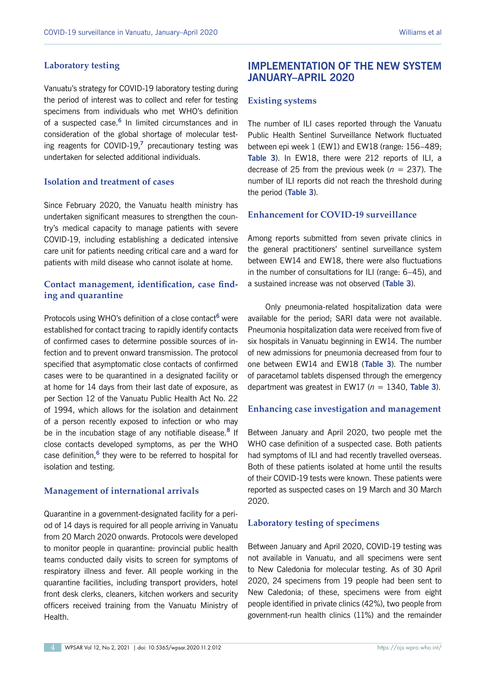#### **Laboratory testing**

Vanuatu's strategy for COVID-19 laboratory testing during the period of interest was to collect and refer for testing specimens from individuals who met WHO's definition of a suspected case.**<sup>6</sup>** In limited circumstances and in consideration of the global shortage of molecular testing reagents for COVID-19,**<sup>7</sup>** precautionary testing was undertaken for selected additional individuals.

## **Isolation and treatment of cases**

Since February 2020, the Vanuatu health ministry has undertaken significant measures to strengthen the country's medical capacity to manage patients with severe COVID-19, including establishing a dedicated intensive care unit for patients needing critical care and a ward for patients with mild disease who cannot isolate at home.

## **Contact management, identification, case finding and quarantine**

Protocols using WHO's definition of a close contact**<sup>6</sup>** were established for contact tracing to rapidly identify contacts of confirmed cases to determine possible sources of infection and to prevent onward transmission. The protocol specified that asymptomatic close contacts of confirmed cases were to be quarantined in a designated facility or at home for 14 days from their last date of exposure, as per Section 12 of the Vanuatu Public Health Act No. 22 of 1994, which allows for the isolation and detainment of a person recently exposed to infection or who may be in the incubation stage of any notifiable disease.**<sup>8</sup>** If close contacts developed symptoms, as per the WHO case definition,**<sup>6</sup>** they were to be referred to hospital for isolation and testing.

#### **Management of international arrivals**

Quarantine in a government-designated facility for a period of 14 days is required for all people arriving in Vanuatu from 20 March 2020 onwards. Protocols were developed to monitor people in quarantine: provincial public health teams conducted daily visits to screen for symptoms of respiratory illness and fever. All people working in the quarantine facilities, including transport providers, hotel front desk clerks, cleaners, kitchen workers and security officers received training from the Vanuatu Ministry of Health.

## **IMPLEMENTATION OF THE NEW SYSTEM JANUARY–APRIL 2020**

#### **Existing systems**

The number of ILI cases reported through the Vanuatu Public Health Sentinel Surveillance Network fluctuated between epi week 1 (EW1) and EW18 (range: 156–489; **Table 3**). In EW18, there were 212 reports of ILI, a decrease of 25 from the previous week ( $n = 237$ ). The number of ILI reports did not reach the threshold during the period (**Table 3**).

#### **Enhancement for COVID-19 surveillance**

Among reports submitted from seven private clinics in the general practitioners' sentinel surveillance system between EW14 and EW18, there were also fluctuations in the number of consultations for ILI (range: 6–45), and a sustained increase was not observed (**Table 3**).

Only pneumonia-related hospitalization data were available for the period; SARI data were not available. Pneumonia hospitalization data were received from five of six hospitals in Vanuatu beginning in EW14. The number of new admissions for pneumonia decreased from four to one between EW14 and EW18 (**Table 3**). The number of paracetamol tablets dispensed through the emergency department was greatest in EW17 ( $n = 1340$ , Table 3).

#### **Enhancing case investigation and management**

Between January and April 2020, two people met the WHO case definition of a suspected case. Both patients had symptoms of ILI and had recently travelled overseas. Both of these patients isolated at home until the results of their COVID-19 tests were known. These patients were reported as suspected cases on 19 March and 30 March 2020.

#### **Laboratory testing of specimens**

Between January and April 2020, COVID-19 testing was not available in Vanuatu, and all specimens were sent to New Caledonia for molecular testing. As of 30 April 2020, 24 specimens from 19 people had been sent to New Caledonia; of these, specimens were from eight people identified in private clinics (42%), two people from government-run health clinics (11%) and the remainder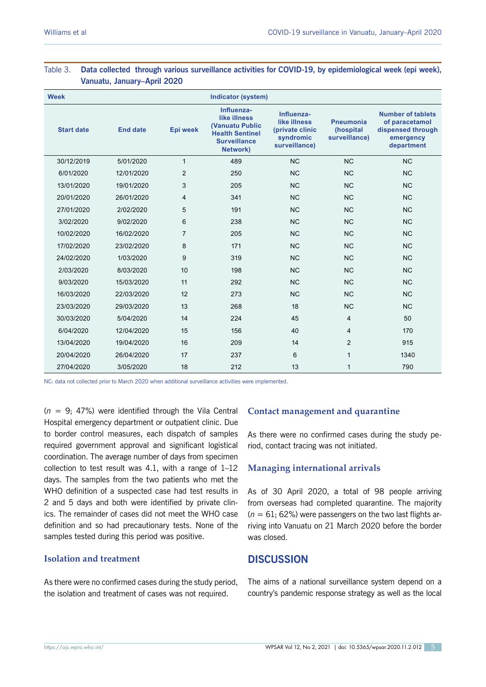| <b>Week</b>       |                 |                | Indicator (system)                                                                                                |                                                                             |                                                |                                                                                     |
|-------------------|-----------------|----------------|-------------------------------------------------------------------------------------------------------------------|-----------------------------------------------------------------------------|------------------------------------------------|-------------------------------------------------------------------------------------|
| <b>Start date</b> | <b>End date</b> | Epi week       | Influenza-<br>like illness<br><b>(Vanuatu Public</b><br><b>Health Sentinel</b><br><b>Surveillance</b><br>Network) | Influenza-<br>like illness<br>(private clinic<br>syndromic<br>surveillance) | <b>Pneumonia</b><br>(hospital<br>surveillance) | Number of tablets<br>of paracetamol<br>dispensed through<br>emergency<br>department |
| 30/12/2019        | 5/01/2020       | $\mathbf{1}$   | 489                                                                                                               | <b>NC</b>                                                                   | <b>NC</b>                                      | <b>NC</b>                                                                           |
| 6/01/2020         | 12/01/2020      | $\overline{2}$ | 250                                                                                                               | <b>NC</b>                                                                   | <b>NC</b>                                      | <b>NC</b>                                                                           |
| 13/01/2020        | 19/01/2020      | 3              | 205                                                                                                               | <b>NC</b>                                                                   | <b>NC</b>                                      | <b>NC</b>                                                                           |
| 20/01/2020        | 26/01/2020      | 4              | 341                                                                                                               | <b>NC</b>                                                                   | <b>NC</b>                                      | <b>NC</b>                                                                           |
| 27/01/2020        | 2/02/2020       | 5              | 191                                                                                                               | <b>NC</b>                                                                   | <b>NC</b>                                      | <b>NC</b>                                                                           |
| 3/02/2020         | 9/02/2020       | 6              | 238                                                                                                               | <b>NC</b>                                                                   | <b>NC</b>                                      | <b>NC</b>                                                                           |
| 10/02/2020        | 16/02/2020      | $\overline{7}$ | 205                                                                                                               | <b>NC</b>                                                                   | <b>NC</b>                                      | <b>NC</b>                                                                           |
| 17/02/2020        | 23/02/2020      | 8              | 171                                                                                                               | <b>NC</b>                                                                   | <b>NC</b>                                      | <b>NC</b>                                                                           |
| 24/02/2020        | 1/03/2020       | 9              | 319                                                                                                               | <b>NC</b>                                                                   | <b>NC</b>                                      | <b>NC</b>                                                                           |
| 2/03/2020         | 8/03/2020       | 10             | 198                                                                                                               | <b>NC</b>                                                                   | <b>NC</b>                                      | <b>NC</b>                                                                           |
| 9/03/2020         | 15/03/2020      | 11             | 292                                                                                                               | <b>NC</b>                                                                   | <b>NC</b>                                      | <b>NC</b>                                                                           |
| 16/03/2020        | 22/03/2020      | 12             | 273                                                                                                               | N <sub>C</sub>                                                              | <b>NC</b>                                      | <b>NC</b>                                                                           |
| 23/03/2020        | 29/03/2020      | 13             | 268                                                                                                               | 18                                                                          | <b>NC</b>                                      | <b>NC</b>                                                                           |
| 30/03/2020        | 5/04/2020       | 14             | 224                                                                                                               | 45                                                                          | $\overline{4}$                                 | 50                                                                                  |
| 6/04/2020         | 12/04/2020      | 15             | 156                                                                                                               | 40                                                                          | 4                                              | 170                                                                                 |
| 13/04/2020        | 19/04/2020      | 16             | 209                                                                                                               | 14                                                                          | $\overline{2}$                                 | 915                                                                                 |
| 20/04/2020        | 26/04/2020      | 17             | 237                                                                                                               | 6                                                                           | $\mathbf{1}$                                   | 1340                                                                                |
| 27/04/2020        | 3/05/2020       | 18             | 212                                                                                                               | 13                                                                          | $\mathbf{1}$                                   | 790                                                                                 |

## Table 3. **Data collected through various surveillance activities for COVID-19, by epidemiological week (epi week), Vanuatu, January–April 2020**

NC: data not collected prior to March 2020 when additional surveillance activities were implemented.

(*n* = 9; 47%) were identified through the Vila Central Hospital emergency department or outpatient clinic. Due to border control measures, each dispatch of samples required government approval and significant logistical coordination. The average number of days from specimen collection to test result was 4.1, with a range of 1–12 days. The samples from the two patients who met the WHO definition of a suspected case had test results in 2 and 5 days and both were identified by private clinics. The remainder of cases did not meet the WHO case definition and so had precautionary tests. None of the samples tested during this period was positive.

## **Isolation and treatment**

As there were no confirmed cases during the study period, the isolation and treatment of cases was not required.

## **Contact management and quarantine**

As there were no confirmed cases during the study period, contact tracing was not initiated.

## **Managing international arrivals**

As of 30 April 2020, a total of 98 people arriving from overseas had completed quarantine. The majority  $(n = 61; 62%)$  were passengers on the two last flights arriving into Vanuatu on 21 March 2020 before the border was closed.

# **DISCUSSION**

The aims of a national surveillance system depend on a country's pandemic response strategy as well as the local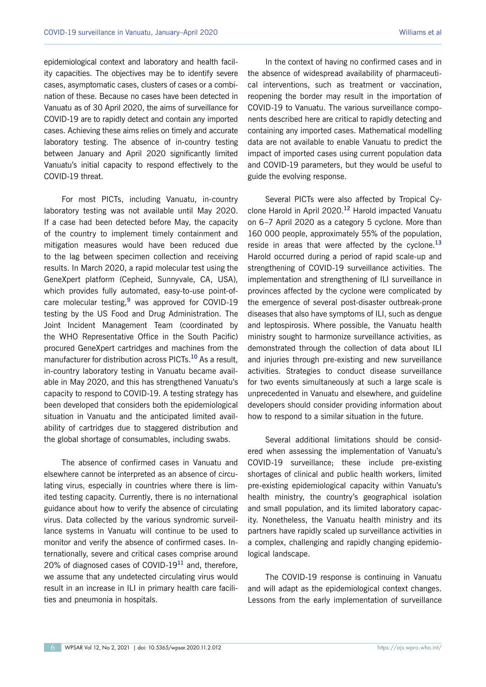epidemiological context and laboratory and health facility capacities. The objectives may be to identify severe cases, asymptomatic cases, clusters of cases or a combination of these. Because no cases have been detected in Vanuatu as of 30 April 2020, the aims of surveillance for COVID-19 are to rapidly detect and contain any imported cases. Achieving these aims relies on timely and accurate laboratory testing. The absence of in-country testing between January and April 2020 significantly limited Vanuatu's initial capacity to respond effectively to the COVID-19 threat.

For most PICTs, including Vanuatu, in-country laboratory testing was not available until May 2020. If a case had been detected before May, the capacity of the country to implement timely containment and mitigation measures would have been reduced due to the lag between specimen collection and receiving results. In March 2020, a rapid molecular test using the GeneXpert platform (Cepheid, Sunnyvale, CA, USA), which provides fully automated, easy-to-use point-ofcare molecular testing,**<sup>9</sup>** was approved for COVID-19 testing by the US Food and Drug Administration. The Joint Incident Management Team (coordinated by the WHO Representative Office in the South Pacific) procured GeneXpert cartridges and machines from the manufacturer for distribution across PICTs.**<sup>10</sup>** As a result, in-country laboratory testing in Vanuatu became available in May 2020, and this has strengthened Vanuatu's capacity to respond to COVID-19. A testing strategy has been developed that considers both the epidemiological situation in Vanuatu and the anticipated limited availability of cartridges due to staggered distribution and the global shortage of consumables, including swabs.

The absence of confirmed cases in Vanuatu and elsewhere cannot be interpreted as an absence of circulating virus, especially in countries where there is limited testing capacity. Currently, there is no international guidance about how to verify the absence of circulating virus. Data collected by the various syndromic surveillance systems in Vanuatu will continue to be used to monitor and verify the absence of confirmed cases. Internationally, severe and critical cases comprise around 20% of diagnosed cases of COVID-19**<sup>11</sup>** and, therefore, we assume that any undetected circulating virus would result in an increase in ILI in primary health care facilities and pneumonia in hospitals.

In the context of having no confirmed cases and in the absence of widespread availability of pharmaceutical interventions, such as treatment or vaccination, reopening the border may result in the importation of COVID-19 to Vanuatu. The various surveillance components described here are critical to rapidly detecting and containing any imported cases. Mathematical modelling data are not available to enable Vanuatu to predict the impact of imported cases using current population data and COVID-19 parameters, but they would be useful to guide the evolving response.

Several PICTs were also affected by Tropical Cyclone Harold in April 2020.**<sup>12</sup>** Harold impacted Vanuatu on 6–7 April 2020 as a category 5 cyclone. More than 160 000 people, approximately 55% of the population, reside in areas that were affected by the cyclone.**<sup>13</sup>** Harold occurred during a period of rapid scale-up and strengthening of COVID-19 surveillance activities. The implementation and strengthening of ILI surveillance in provinces affected by the cyclone were complicated by the emergence of several post-disaster outbreak-prone diseases that also have symptoms of ILI, such as dengue and leptospirosis. Where possible, the Vanuatu health ministry sought to harmonize surveillance activities, as demonstrated through the collection of data about ILI and injuries through pre-existing and new surveillance activities. Strategies to conduct disease surveillance for two events simultaneously at such a large scale is unprecedented in Vanuatu and elsewhere, and guideline developers should consider providing information about how to respond to a similar situation in the future.

Several additional limitations should be considered when assessing the implementation of Vanuatu's COVID-19 surveillance; these include pre-existing shortages of clinical and public health workers, limited pre-existing epidemiological capacity within Vanuatu's health ministry, the country's geographical isolation and small population, and its limited laboratory capacity. Nonetheless, the Vanuatu health ministry and its partners have rapidly scaled up surveillance activities in a complex, challenging and rapidly changing epidemiological landscape.

The COVID-19 response is continuing in Vanuatu and will adapt as the epidemiological context changes. Lessons from the early implementation of surveillance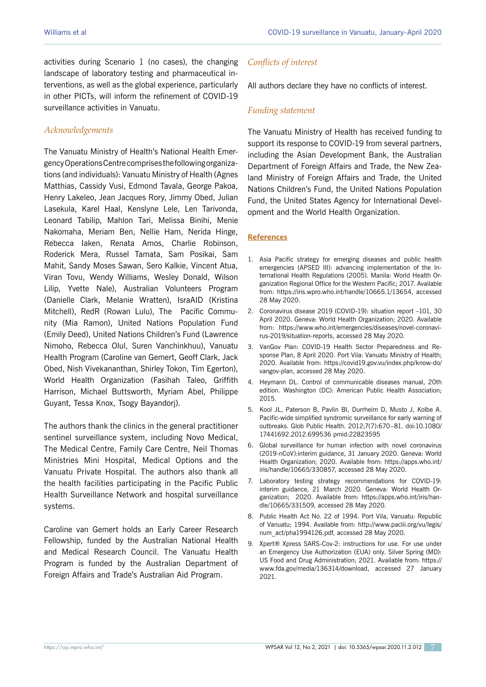activities during Scenario 1 (no cases), the changing landscape of laboratory testing and pharmaceutical interventions, as well as the global experience, particularly in other PICTs, will inform the refinement of COVID-19 surveillance activities in Vanuatu.

## *Acknowledgements*

The Vanuatu Ministry of Health's National Health Emergency Operations Centre comprises the following organizations (and individuals): Vanuatu Ministry of Health (Agnes Matthias, Cassidy Vusi, Edmond Tavala, George Pakoa, Henry Lakeleo, Jean Jacques Rory, Jimmy Obed, Julian Lasekula, Karel Haal, Kenslyne Lele, Len Tarivonda, Leonard Tabilip, Mahlon Tari, Melissa Binihi, Menie Nakomaha, Meriam Ben, Nellie Ham, Nerida Hinge, Rebecca Iaken, Renata Amos, Charlie Robinson, Roderick Mera, Russel Tamata, Sam Posikai, Sam Mahit, Sandy Moses Sawan, Sero Kalkie, Vincent Atua, Viran Tovu, Wendy Williams, Wesley Donald, Wilson Lilip, Yvette Nale), Australian Volunteers Program (Danielle Clark, Melanie Wratten), IsraAID (Kristina Mitchell), RedR (Rowan Lulu), The Pacific Community (Mia Ramon), United Nations Population Fund (Emily Deed), United Nations Children's Fund (Lawrence Nimoho, Rebecca Olul, Suren Vanchinkhuu), Vanuatu Health Program (Caroline van Gemert, Geoff Clark, Jack Obed, Nish Vivekananthan, Shirley Tokon, Tim Egerton), World Health Organization (Fasihah Taleo, Griffith Harrison, Michael Buttsworth, Myriam Abel, Philippe Guyant, Tessa Knox, Tsogy Bayandorj).

The authors thank the clinics in the general practitioner sentinel surveillance system, including Novo Medical, The Medical Centre, Family Care Centre, Neil Thomas Ministries Mini Hospital, Medical Options and the Vanuatu Private Hospital. The authors also thank all the health facilities participating in the Pacific Public Health Surveillance Network and hospital surveillance systems.

Caroline van Gemert holds an Early Career Research Fellowship, funded by the Australian National Health and Medical Research Council. The Vanuatu Health Program is funded by the Australian Department of Foreign Affairs and Trade's Australian Aid Program.

## *Conflicts of interest*

All authors declare they have no conflicts of interest.

## *Funding statement*

The Vanuatu Ministry of Health has received funding to support its response to COVID-19 from several partners, including the Asian Development Bank, the Australian Department of Foreign Affairs and Trade, the New Zealand Ministry of Foreign Affairs and Trade, the United Nations Children's Fund, the United Nations Population Fund, the United States Agency for International Development and the World Health Organization.

#### **References**

- 1. Asia Pacific strategy for emerging diseases and public health emergencies (APSED III): advancing implementation of the International Health Regulations (2005). Manila: World Health Organization Regional Office for the Western Pacific; 2017. Available from: <https://iris.wpro.who.int/handle/10665.1/13654>, accessed 28 May 2020.
- 2. Coronavirus disease 2019 (COVID-19): situation report –101, 30 April 2020. Geneva: World Health Organization; 2020. Available from: [https://www.who.int/emergencies/diseases/novel-coronavi](https://www.who.int/emergencies/diseases/novel-coronavirus-2019/situation-reports)[rus-2019/situation-reports,](https://www.who.int/emergencies/diseases/novel-coronavirus-2019/situation-reports) accessed 28 May 2020.
- 3. VanGov Plan: COVID-19 Health Sector Preparedness and Response Plan, 8 April 2020. Port Vila: Vanuatu Ministry of Health; 2020. Available from: [https://covid19.gov.vu/index.php/know-do/](https://covid19.gov.vu/index.php/know-do/vangov-plan) [vangov-plan,](https://covid19.gov.vu/index.php/know-do/vangov-plan) accessed 28 May 2020.
- 4. Heymann DL. Control of communicable diseases manual, 20th edition. Washington (DC): American Public Health Association; 2015.
- 5. Kool JL, Paterson B, Pavlin BI, Durrheim D, Musto J, Kolbe A. Pacific-wide simplified syndromic surveillance for early warning of outbreaks. Glob Public Health. 2012;7(7):670–81. doi[:10.1080/](https://doi.org/10.1080/17441692.2012.699536) [17441692.2012.699536](https://doi.org/10.1080/17441692.2012.699536) [pmid:22823595](https://www.ncbi.nlm.nih.gov/entrez/query.fcgi?cmd=Retrieve&db=PubMed&list_uids=22823595&dopt=Abstract)
- 6. Global surveillance for human infection with novel coronavirus (2019-nCoV):interim guidance, 31 January 2020. Geneva: World Health Organization; 2020. Available from: [https://apps.who.int/](https://apps.who.int/iris/handle/10665/330857) [iris/handle/10665/330857,](https://apps.who.int/iris/handle/10665/330857) accessed 28 May 2020.
- 7. Laboratory testing strategy recommendations for COVID-19: interim guidance, 21 March 2020. Geneva: World Health Organization; 2020. Available from: [https://apps.who.int/iris/han](https://apps.who.int/iris/handle/10665/331509)[dle/10665/331509,](https://apps.who.int/iris/handle/10665/331509) accessed 28 May 2020.
- 8. Public Health Act No. 22 of 1994. Port Vila, Vanuatu: Republic of Vanuatu; 1994. Available from: [http://www.paclii.org/vu/legis/](http://www.paclii.org/vu/legis/num_act/pha1994126.pdf) [num\\_act/pha1994126.pdf](http://www.paclii.org/vu/legis/num_act/pha1994126.pdf), accessed 28 May 2020.
- 9. Xpert® Xpress SARS-Cov-2: instructions for use. For use under an Emergency Use Authorization (EUA) only. Silver Spring (MD): US Food and Drug Administration; 2021. Available from: [https://](https://www.fda.gov/media/136314/download) [www.fda.gov/media/136314/download](https://www.fda.gov/media/136314/download), accessed 27 January 2021.